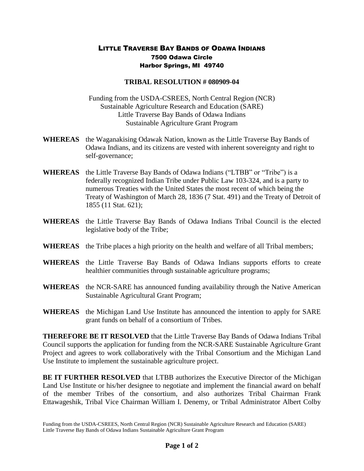## LITTLE TRAVERSE BAY BANDS OF ODAWA INDIANS 7500 Odawa Circle Harbor Springs, MI 49740

## **TRIBAL RESOLUTION # 080909-04**

Funding from the USDA-CSREES, North Central Region (NCR) Sustainable Agriculture Research and Education (SARE) Little Traverse Bay Bands of Odawa Indians Sustainable Agriculture Grant Program

- **WHEREAS** the Waganakising Odawak Nation, known as the Little Traverse Bay Bands of Odawa Indians, and its citizens are vested with inherent sovereignty and right to self-governance;
- **WHEREAS** the Little Traverse Bay Bands of Odawa Indians ("LTBB" or "Tribe") is a federally recognized Indian Tribe under Public Law 103-324, and is a party to numerous Treaties with the United States the most recent of which being the Treaty of Washington of March 28, 1836 (7 Stat. 491) and the Treaty of Detroit of 1855 (11 Stat. 621);
- **WHEREAS** the Little Traverse Bay Bands of Odawa Indians Tribal Council is the elected legislative body of the Tribe;
- **WHEREAS** the Tribe places a high priority on the health and welfare of all Tribal members;
- **WHEREAS** the Little Traverse Bay Bands of Odawa Indians supports efforts to create healthier communities through sustainable agriculture programs;
- **WHEREAS** the NCR-SARE has announced funding availability through the Native American Sustainable Agricultural Grant Program;
- **WHEREAS** the Michigan Land Use Institute has announced the intention to apply for SARE grant funds on behalf of a consortium of Tribes.

**THEREFORE BE IT RESOLVED** that the Little Traverse Bay Bands of Odawa Indians Tribal Council supports the application for funding from the NCR-SARE Sustainable Agriculture Grant Project and agrees to work collaboratively with the Tribal Consortium and the Michigan Land Use Institute to implement the sustainable agriculture project.

**BE IT FURTHER RESOLVED** that LTBB authorizes the Executive Director of the Michigan Land Use Institute or his/her designee to negotiate and implement the financial award on behalf of the member Tribes of the consortium, and also authorizes Tribal Chairman Frank Ettawageshik, Tribal Vice Chairman William I. Denemy, or Tribal Administrator Albert Colby

Funding from the USDA-CSREES, North Central Region (NCR) Sustainable Agriculture Research and Education (SARE) Little Traverse Bay Bands of Odawa Indians Sustainable Agriculture Grant Program